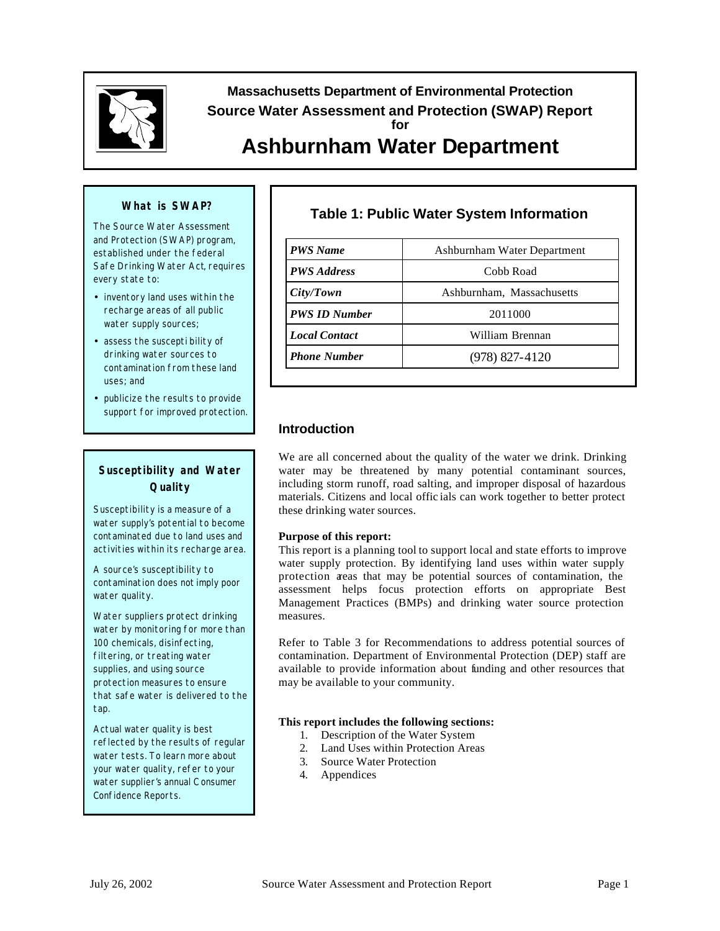

Massachusetts Department of Environmental Protection<br>Source Water Assessment and Protection (SWAP) Repert<br>Ashburnham Water Department **Source Water Assessment and Protection (SWAP) Report for Ashburnham Water Department** 

#### **What is SWAP?**

The Source Water Assessment and Protection (SWAP) program, established under the federal Safe Drinking Water Act, requires every state to:

- inventory land uses within the recharge areas of all public water supply sources;
- assess the suscepti bility of drinking water sources to contamination from these land uses; and
- publicize the results to provide support for improved protection.

## **Susceptibility and Water Quality**

Susceptibility is a measure of a water supply's potential to become contaminated due to land uses and activities within its recharge area.

A source's susceptibility to contamination does *not* imply poor water quality.

Water suppliers protect drinking water by monitoring for more than 100 chemicals, disinfecting, filtering, or treating water supplies, and using source protection measures to ensure that safe water is delivered to the tap.

Actual water quality is best reflected by the results of regular water tests. To learn more about your water quality, refer to your water supplier's annual C onsumer Confidence Reports.

# **Table 1: Public Water System Information**

| <b>PWS</b> Name      | Ashburnham Water Department |  |  |
|----------------------|-----------------------------|--|--|
| <b>PWS Address</b>   | Cobb Road                   |  |  |
| City/ Town           | Ashburnham, Massachusetts   |  |  |
| <b>PWS ID Number</b> | 2011000                     |  |  |
| <b>Local Contact</b> | William Brennan             |  |  |
| <b>Phone Number</b>  | $(978)$ 827-4120            |  |  |

## **Introduction**

We are all concerned about the quality of the water we drink. Drinking water may be threatened by many potential contaminant sources, including storm runoff, road salting, and improper disposal of hazardous materials. Citizens and local offic ials can work together to better protect these drinking water sources.

#### **Purpose of this report:**

This report is a planning tool to support local and state efforts to improve water supply protection. By identifying land uses within water supply protection areas that may be potential sources of contamination, the assessment helps focus protection efforts on appropriate Best Management Practices (BMPs) and drinking water source protection measures.

Refer to Table 3 for Recommendations to address potential sources of contamination. Department of Environmental Protection (DEP) staff are available to provide information about funding and other resources that may be available to your community.

#### **This report includes the following sections:**

- 1. Description of the Water System
- 2. Land Uses within Protection Areas
- 3. Source Water Protection
- 4. Appendices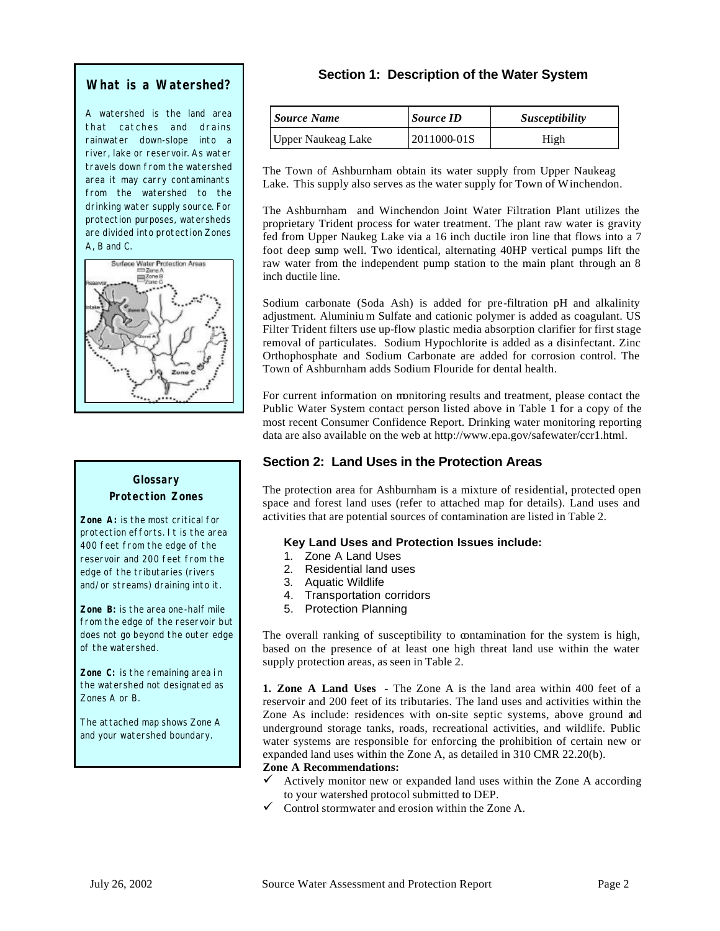### **What is a Watershed?**

A watershed is the land area that catches and drains rainwater down-slope into a river, lake or reservoir. As water travels down from the watershed area it may carry contaminants from the watershed to the drinking water supply source. For protection purposes, watersheds are divided into protection Zones A, B and C.



# **Glossary Protection Zones**

**Zone A:** is the most critical for protection efforts. It is the area 400 feet from the edge of the reservoir and 200 feet from the edge of the tributaries (rivers and/or streams) draining into it.

**Zone B:** is the area one-half mile from the edge of the reservoir but does not go beyond the outer edge of the watershed.

**Zone C:** is the remaining area i n the watershed not designated as Zones A or B.

The attached map shows Zone A and your watershed boundary.

# **Section 1: Description of the Water System**

| <b>Source Name</b>        | <b>Source ID</b> | <i>Susceptibility</i> |  |
|---------------------------|------------------|-----------------------|--|
| <b>Upper Naukeag Lake</b> | 2011000-01S      | High                  |  |

The Town of Ashburnham obtain its water supply from Upper Naukeag Lake. This supply also serves as the water supply for Town of Winchendon.

The Ashburnham and Winchendon Joint Water Filtration Plant utilizes the proprietary Trident process for water treatment. The plant raw water is gravity fed from Upper Naukeg Lake via a 16 inch ductile iron line that flows into a 7 foot deep sump well. Two identical, alternating 40HP vertical pumps lift the raw water from the independent pump station to the main plant through an 8 inch ductile line.

Sodium carbonate (Soda Ash) is added for pre-filtration pH and alkalinity adjustment. Aluminiu m Sulfate and cationic polymer is added as coagulant. US Filter Trident filters use up-flow plastic media absorption clarifier for first stage removal of particulates. Sodium Hypochlorite is added as a disinfectant. Zinc Orthophosphate and Sodium Carbonate are added for corrosion control. The Town of Ashburnham adds Sodium Flouride for dental health.

For current information on monitoring results and treatment, please contact the Public Water System contact person listed above in Table 1 for a copy of the most recent Consumer Confidence Report. Drinking water monitoring reporting data are also available on the web at <http://www.epa.gov/safewater/ccr1.html>.

# **Section 2: Land Uses in the Protection Areas**

The protection area for Ashburnham is a mixture of residential, protected open space and forest land uses (refer to attached map for details). Land uses and activities that are potential sources of contamination are listed in Table 2.

#### **Key Land Uses and Protection Issues include:**

- 1. Zone A Land Uses
- 2. Residential land uses
- 3. Aquatic Wildlife
- 4. Transportation corridors
- 5. Protection Planning

The overall ranking of susceptibility to contamination for the system is high, based on the presence of at least one high threat land use within the water supply protection areas, as seen in Table 2.

**1. Zone A Land Uses -** The Zone A is the land area within 400 feet of a reservoir and 200 feet of its tributaries. The land uses and activities within the Zone As include: residences with on-site septic systems, above ground and underground storage tanks, roads, recreational activities, and wildlife. Public water systems are responsible for enforcing the prohibition of certain new or expanded land uses within the Zone A, as detailed in 310 CMR 22.20(b).

#### **Zone A Recommendations:**

- $\checkmark$ Actively monitor new or expanded land uses within the Zone A according to your watershed protocol submitted to DEP.
- Control stormwater and erosion within the Zone A.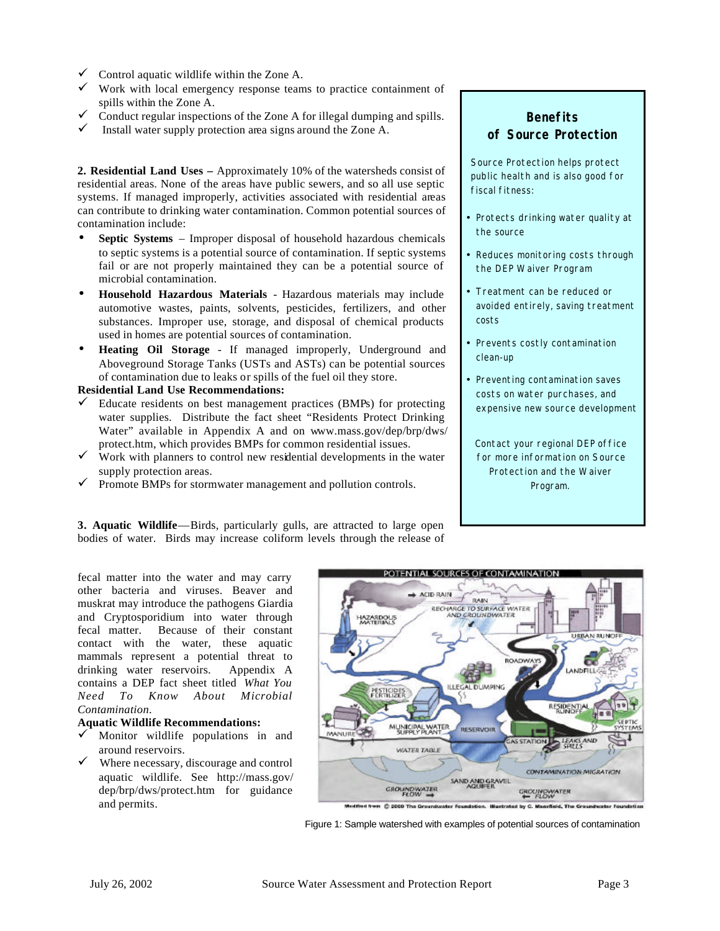- $\checkmark$  Control aquatic wildlife within the Zone A.
- $\checkmark$  Work with local emergency response teams to practice containment of spills within the Zone A.
- $\checkmark$  Conduct regular inspections of the Zone A for illegal dumping and spills.
- $\checkmark$  Install water supply protection area signs around the Zone A.

**2. Residential Land Uses –** Approximately 10% of the watersheds consist of residential areas. None of the areas have public sewers, and so all use septic systems. If managed improperly, activities associated with residential areas can contribute to drinking water contamination. Common potential sources of contamination include:

- **Septic Systems**  Improper disposal of household hazardous chemicals to septic systems is a potential source of contamination. If septic systems fail or are not properly maintained they can be a potential source of microbial contamination.
- **Household Hazardous Materials**  Hazardous materials may include automotive wastes, paints, solvents, pesticides, fertilizers, and other substances. Improper use, storage, and disposal of chemical products used in homes are potential sources of contamination.
- **Heating Oil Storage**  If managed improperly, Underground and Aboveground Storage Tanks (USTs and ASTs) can be potential sources of contamination due to leaks or spills of the fuel oil they store.

#### **Residential Land Use Recommendations:**

- $\checkmark$  Educate residents on best management practices (BMPs) for protecting water supplies. Distribute the fact sheet "Residents Protect Drinking Water" available in Appendix A and on <www.mass.gov/dep/brp/dws>/ protect.htm, which provides BMPs for common residential issues.
- Work with planners to control new residential developments in the water supply protection areas.
- $\checkmark$  Promote BMPs for stormwater management and pollution controls.

**3. Aquatic Wildlife**—Birds, particularly gulls, are attracted to large open bodies of water. Birds may increase coliform levels through the release of

# **Benefits of Source Protection**

Source Protection helps protect public health and is also good for fiscal fitness:

- Protects drinking water quality at the source
- Reduces monitoring costs through the DEP Waiver Program
- Treatment can be reduced or avoided entirely, saving treatment costs
- Prevents costly contamination clean-up
- Preventing contamination saves costs on water purchases, and expensive new source development

Contact your regional DEP office for more information on Source Protection and the Waiver Program.

fecal matter into the water and may carry other bacteria and viruses. Beaver and muskrat may introduce the pathogens Giardia and Cryptosporidium into water through fecal matter. Because of their constant contact with the water, these aquatic mammals represent a potential threat to drinking water reservoirs. Appendix A contains a DEP fact sheet titled *What You Need To Know About Microbial Contamination*.

#### **Aquatic Wildlife Recommendations:**

- Monitor wildlife populations in and around reservoirs.
- $\checkmark$  Where necessary, discourage and control aquatic wildlife. See [http://mass.gov/](http://mass.gov) dep/brp/dws/protect.htm for guidance and permits.



Figure 1: Sample watershed with examples of potential sources of contamination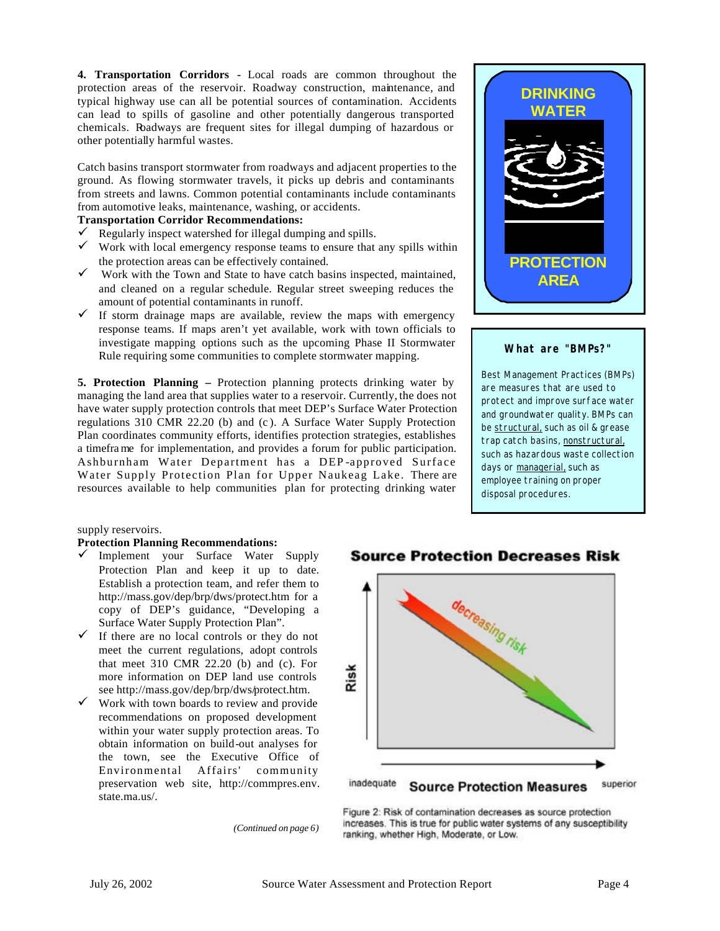**4. Transportation Corridors -** Local roads are common throughout the protection areas of the reservoir. Roadway construction, maintenance, and typical highway use can all be potential sources of contamination. Accidents can lead to spills of gasoline and other potentially dangerous transported chemicals. Roadways are frequent sites for illegal dumping of hazardous or other potentially harmful wastes.

Catch basins transport stormwater from roadways and adjacent properties to the ground. As flowing stormwater travels, it picks up debris and contaminants from streets and lawns. Common potential contaminants include contaminants from automotive leaks, maintenance, washing, or accidents.

#### **Transportation Corridor Recommendations:**

- $\checkmark$  Regularly inspect watershed for illegal dumping and spills.
- $\checkmark$  Work with local emergency response teams to ensure that any spills within the protection areas can be effectively contained.
- $\checkmark$  Work with the Town and State to have catch basins inspected, maintained, and cleaned on a regular schedule. Regular street sweeping reduces the amount of potential contaminants in runoff.
- $\checkmark$  If storm drainage maps are available, review the maps with emergency response teams. If maps aren't yet available, work with town officials to investigate mapping options such as the upcoming Phase II Stormwater Rule requiring some communities to complete stormwater mapping.

**5. Protection Planning –** Protection planning protects drinking water by managing the land area that supplies water to a reservoir. Currently, the does not have water supply protection controls that meet DEP's Surface Water Protection regulations 310 CMR 22.20 (b) and (c ). A Surface Water Supply Protection Plan coordinates community efforts, identifies protection strategies, establishes a timefra me for implementation, and provides a forum for public participation. Ashburnham Water Department has a DEP -approved Surface Water Supply Protection Plan for Upper Naukeag Lake. There are resources available to help communities plan for protecting drinking water



#### **What are "BMPs?"**

Best Management Practices (BMPs) are measures that are used to protect and improve surface water and groundwater quality. BMPs can be structural, such as oil & grease trap catch basins, nonstructural, such as hazardous waste collection days or managerial, such as employee training on proper disposal procedures.

supply reservoirs.

#### **Protection Planning Recommendations:**

- $\checkmark$  Implement your Surface Water Supply Protection Plan and keep it up to date. Establish a protection team, and refer them to <http://mass.gov/dep/brp/dws/protect.htm> for a copy of DEP's guidance, "Developing a Surface Water Supply Protection Plan".
- $\checkmark$  If there are no local controls or they do not meet the current regulations, adopt controls that meet 310 CMR 22.20 (b) and (c). For more information on DEP land use controls see<http://mass.gov/dep/brp/dws/protect.htm>.
- $\checkmark$  Work with town boards to review and provide recommendations on proposed development within your water supply protection areas. To obtain information on build-out analyses for the town, see the Executive Office of Environmental Affairs' community preservation web site, [http://commpres.env.](http://commpres.env) [state.ma.us/](https://state.ma.us).

# **Protection D1 ecreases Risk**



*(Continued on page 6)* 

Figure 2: Risk of contamination decreases as source protection increases. This is true for public water systems of any susceptibility ranking, whether High, Moderate, or Low.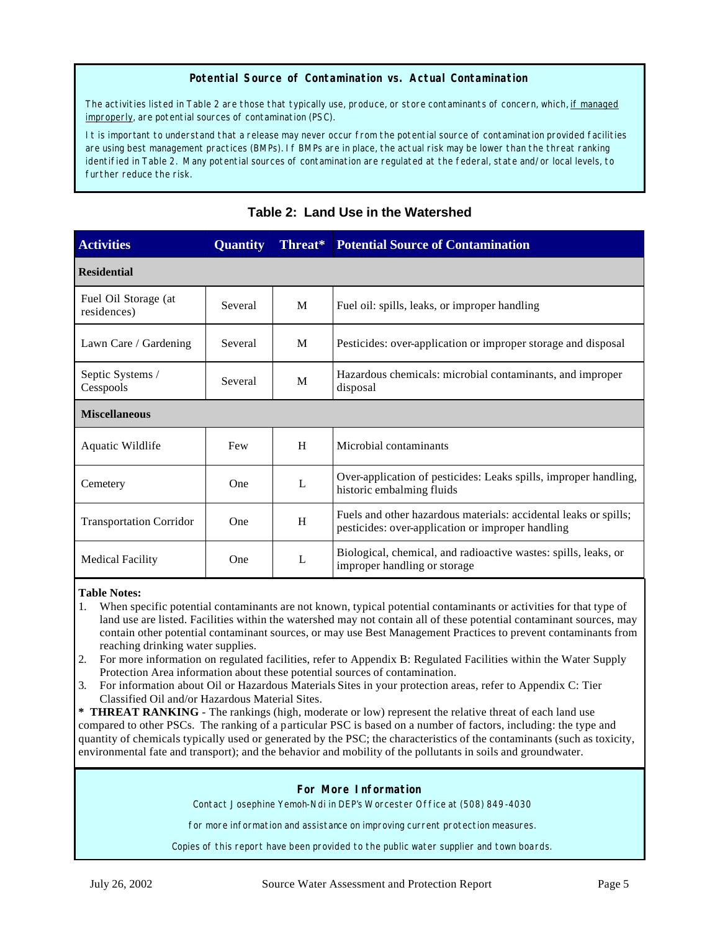#### **Potential Source of Contamination vs. Actual Contamination**

The activities listed in Table 2 are those that typically use, produce, or store contaminants of concern, which, if managed improperly, are potential sources of contamination (PSC).

It is important to understand that a release may never occur from the potential source of contamination provided facilities are using best management practices (BMPs). If BMPs are in place, the actual risk may be lower than the threat ranking identified in Table 2. Many potential sources of contamination are regulated at the federal, state and/or local levels, to further reduce the risk.

| <b>Activities</b>                   | <b>Quantity</b> | Threat*      | <b>Potential Source of Contamination</b>                                                                              |  |  |  |  |
|-------------------------------------|-----------------|--------------|-----------------------------------------------------------------------------------------------------------------------|--|--|--|--|
| <b>Residential</b>                  |                 |              |                                                                                                                       |  |  |  |  |
| Fuel Oil Storage (at<br>residences) | Several         | M            | Fuel oil: spills, leaks, or improper handling                                                                         |  |  |  |  |
| Lawn Care / Gardening               | Several         | M            | Pesticides: over-application or improper storage and disposal                                                         |  |  |  |  |
| Septic Systems /<br>Cesspools       | Several         | M            | Hazardous chemicals: microbial contaminants, and improper<br>disposal                                                 |  |  |  |  |
| <b>Miscellaneous</b>                |                 |              |                                                                                                                       |  |  |  |  |
| Aquatic Wildlife                    | Few             | H            | Microbial contaminants                                                                                                |  |  |  |  |
| Cemetery                            | One             | $\mathbf{L}$ | Over-application of pesticides: Leaks spills, improper handling,<br>historic embalming fluids                         |  |  |  |  |
| <b>Transportation Corridor</b>      | One             | H            | Fuels and other hazardous materials: accidental leaks or spills;<br>pesticides: over-application or improper handling |  |  |  |  |
| <b>Medical Facility</b>             | One             | L            | Biological, chemical, and radioactive wastes: spills, leaks, or<br>improper handling or storage                       |  |  |  |  |

# **Table 2: Land Use in the Watershed**

#### **Table Notes:**

- 1. When specific potential contaminants are not known, typical potential contaminants or activities for that type of land use are listed. Facilities within the watershed may not contain all of these potential contaminant sources, may contain other potential contaminant sources, or may use Best Management Practices to prevent contaminants from reaching drinking water supplies.
- 2. For more information on regulated facilities, refer to Appendix B: Regulated Facilities within the Water Supply Protection Area information about these potential sources of contamination.
- 3. For information about Oil or Hazardous Materials Sites in your protection areas, refer to Appendix C: Tier Classified Oil and/or Hazardous Material Sites.

**\* THREAT RANKING** - The rankings (high, moderate or low) represent the relative threat of each land use compared to other PSCs. The ranking of a particular PSC is based on a number of factors, including: the type and quantity of chemicals typically used or generated by the PSC; the characteristics of the contaminants (such as toxicity, environmental fate and transport); and the behavior and mobility of the pollutants in soils and groundwater.

#### **For More Information**

Contact Josephine Yemoh-Ndi in DEP's Worcester Office at (508) 849-4030

for more information and assistance on improving current protection measures.

Copies of this report have been provided to the public water supplier and town boards.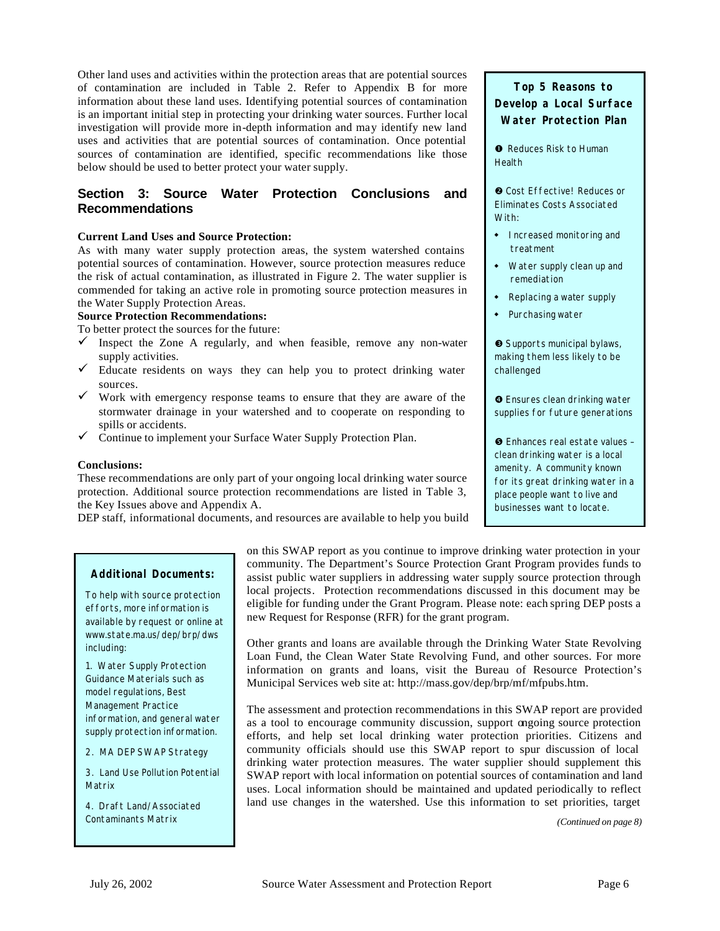Other land uses and activities within the protection areas that are potential sources of contamination are included in Table 2. Refer to Appendix B for more information about these land uses. Identifying potential sources of contamination is an important initial step in protecting your drinking water sources. Further local investigation will provide more in-depth information and may identify new land uses and activities that are potential sources of contamination. Once potential sources of contamination are identified, specific recommendations like those below should be used to better protect your water supply.

## **Section 3: Source Water Protection Conclusions and Recommendations**

#### **Current Land Uses and Source Protection:**

As with many water supply protection areas, the system watershed contains potential sources of contamination. However, source protection measures reduce the risk of actual contamination, as illustrated in Figure 2. The water supplier is commended for taking an active role in promoting source protection measures in the Water Supply Protection Areas.

#### **Source Protection Recommendations:**

To better protect the sources for the future:

- $\checkmark$  Inspect the Zone A regularly, and when feasible, remove any non-water supply activities.
- $\checkmark$  Educate residents on ways they can help you to protect drinking water sources.
- $\checkmark$  Work with emergency response teams to ensure that they are aware of the stormwater drainage in your watershed and to cooperate on responding to spills or accidents.
- $\checkmark$  Continue to implement your Surface Water Supply Protection Plan.

#### **Conclusions:**

These recommendations are only part of your ongoing local drinking water source protection. Additional source protection recommendations are listed in Table 3, the Key Issues above and Appendix A.

DEP staff, informational documents, and resources are available to help you build

# **Top 5 Reasons to Develop a Local Surface Water Protection Plan**

**•** Reduces Risk to Human Health

**• Cost Effective! Reduces or** Eliminates Costs Associated With:

- Increased monitoring and treatment
- Water supply clean up and remediation
- Replacing a water supply
- Purchasing water

**•** Supports municipal bylaws, making them less likely to be challenged

**O** Ensures clean drinking water supplies for future generations

• Enhances real estate values – clean drinking water is a local amenity. A community known for its great drinking water in a place people want to live and businesses want to locate.

#### **Additional Documents:**

To help with source protection efforts, more information is available by request or online at <www.state.ma.us/dep/brp/dws> including:

1. Water Supply Protection Guidance Materials such as model regulations, Best Management Practice information, and general water supply protection information.

2. MA DEP SWAP Strategy

3. Land Use Pollution Potential Matrix

4. Draft Land/Associated Contaminants Matrix

on this SWAP report as you continue to improve drinking water protection in your community. The Department's Source Protection Grant Program provides funds to assist public water suppliers in addressing water supply source protection through local projects. Protection recommendations discussed in this document may be eligible for funding under the Grant Program. Please note: each spring DEP posts a new Request for Response (RFR) for the grant program.

Other grants and loans are available through the Drinking Water State Revolving Loan Fund, the Clean Water State Revolving Fund, and other sources. For more information on grants and loans, visit the Bureau of Resource Protection's Municipal Services web site at:<http://mass.gov/dep/brp/mf/mfpubs.htm>.

The assessment and protection recommendations in this SWAP report are provided as a tool to encourage community discussion, support ongoing source protection efforts, and help set local drinking water protection priorities. Citizens and community officials should use this SWAP report to spur discussion of local drinking water protection measures. The water supplier should supplement this SWAP report with local information on potential sources of contamination and land uses. Local information should be maintained and updated periodically to reflect land use changes in the watershed. Use this information to set priorities, target

*(Continued on page 8)*